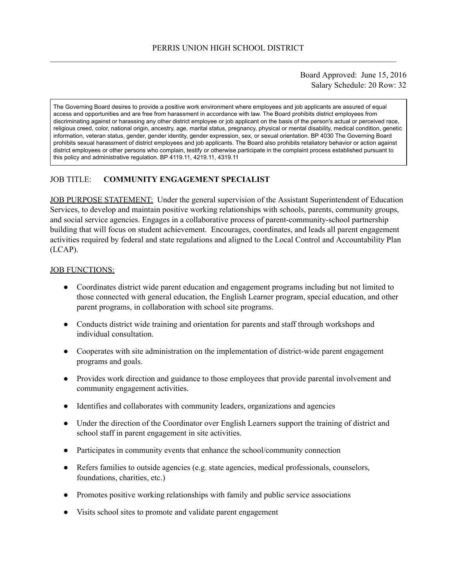### Board Approved: June 15, 2016 Salary Schedule: 20 Row: 32

The Governing Board desires to provide a positive work environment where employees and job applicants are assured of equal access and opportunities and are free from harassment in accordance with law. The Board prohibits district employees from discriminating against or harassing any other district employee or job applicant on the basis of the person's actual or perceived race, religious creed, color, national origin, ancestry, age, marital status, pregnancy, physical or mental disability, medical condition, genetic information, veteran status, gender, gender identity, gender expression, sex, or sexual orientation. BP 4030 The Governing Board prohibits sexual harassment of district employees and job applicants. The Board also prohibits retaliatory behavior or action against district employees or other persons who complain, testify or otherwise participate in the complaint process established pursuant to this policy and administrative regulation. BP 4119.11, 4219.11, 4319.11

# JOB TITLE: **COMMUNITY ENGAGEMENT SPECIALIST**

JOB PURPOSE STATEMENT: Under the general supervision of the Assistant Superintendent of Education Services, to develop and maintain positive working relationships with schools, parents, community groups, and social service agencies. Engages in a collaborative process of parent-community-school partnership building that will focus on student achievement. Encourages, coordinates, and leads all parent engagement activities required by federal and state regulations and aligned to the Local Control and Accountability Plan (LCAP).

#### JOB FUNCTIONS:

- Coordinates district wide parent education and engagement programs including but not limited to those connected with general education, the English Learner program, special education, and other parent programs, in collaboration with school site programs.
- Conducts district wide training and orientation for parents and staff through workshops and individual consultation.
- Cooperates with site administration on the implementation of district-wide parent engagement programs and goals.
- Provides work direction and guidance to those employees that provide parental involvement and community engagement activities.
- Identifies and collaborates with community leaders, organizations and agencies
- Under the direction of the Coordinator over English Learners support the training of district and school staff in parent engagement in site activities.
- Participates in community events that enhance the school/community connection
- Refers families to outside agencies (e.g. state agencies, medical professionals, counselors, foundations, charities, etc.)
- Promotes positive working relationships with family and public service associations
- Visits school sites to promote and validate parent engagement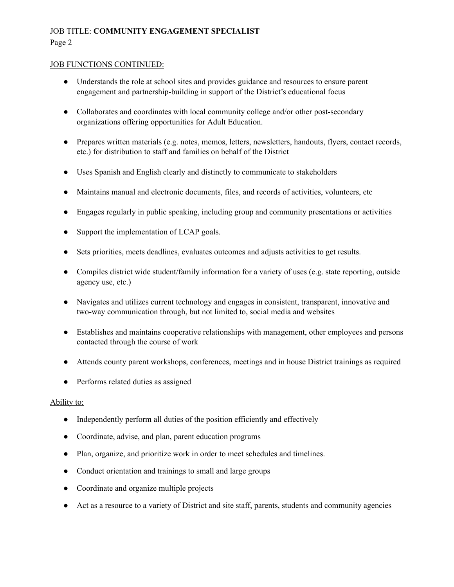# JOB TITLE: **COMMUNITY ENGAGEMENT SPECIALIST** Page 2

#### JOB FUNCTIONS CONTINUED:

- Understands the role at school sites and provides guidance and resources to ensure parent engagement and partnership-building in support of the District's educational focus
- Collaborates and coordinates with local community college and/or other post-secondary organizations offering opportunities for Adult Education.
- Prepares written materials (e.g. notes, memos, letters, newsletters, handouts, flyers, contact records, etc.) for distribution to staff and families on behalf of the District
- Uses Spanish and English clearly and distinctly to communicate to stakeholders
- Maintains manual and electronic documents, files, and records of activities, volunteers, etc
- Engages regularly in public speaking, including group and community presentations or activities
- Support the implementation of LCAP goals.
- Sets priorities, meets deadlines, evaluates outcomes and adjusts activities to get results.
- Compiles district wide student/family information for a variety of uses (e.g. state reporting, outside agency use, etc.)
- Navigates and utilizes current technology and engages in consistent, transparent, innovative and two-way communication through, but not limited to, social media and websites
- Establishes and maintains cooperative relationships with management, other employees and persons contacted through the course of work
- Attends county parent workshops, conferences, meetings and in house District trainings as required
- Performs related duties as assigned

#### Ability to:

- Independently perform all duties of the position efficiently and effectively
- Coordinate, advise, and plan, parent education programs
- Plan, organize, and prioritize work in order to meet schedules and timelines.
- Conduct orientation and trainings to small and large groups
- Coordinate and organize multiple projects
- Act as a resource to a variety of District and site staff, parents, students and community agencies